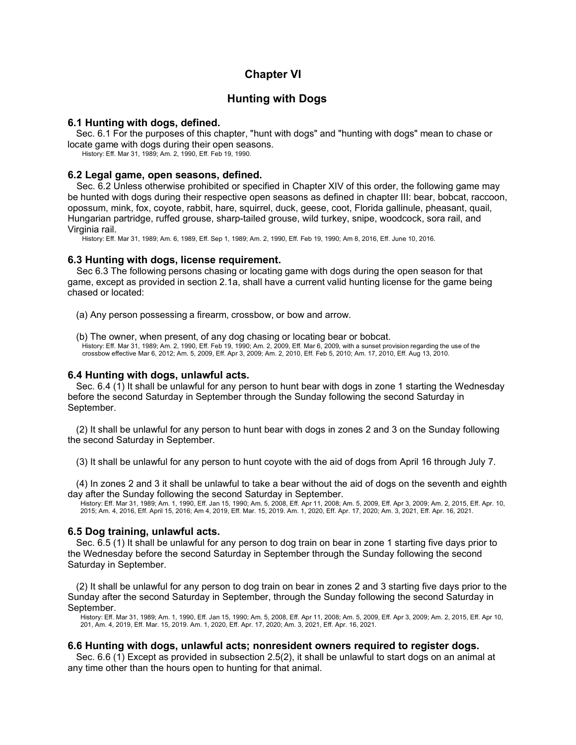# **Chapter VI**

# **Hunting with Dogs**

#### **6.1 Hunting with dogs, defined.**

Sec. 6.1 For the purposes of this chapter, "hunt with dogs" and "hunting with dogs" mean to chase or locate game with dogs during their open seasons.

History: Eff. Mar 31, 1989; Am. 2, 1990, Eff. Feb 19, 1990.

### **6.2 Legal game, open seasons, defined.**

Sec. 6.2 Unless otherwise prohibited or specified in Chapter XIV of this order, the following game may be hunted with dogs during their respective open seasons as defined in chapter III: bear, bobcat, raccoon, opossum, mink, fox, coyote, rabbit, hare, squirrel, duck, geese, coot, Florida gallinule, pheasant, quail, Hungarian partridge, ruffed grouse, sharp-tailed grouse, wild turkey, snipe, woodcock, sora rail, and Virginia rail.

History: Eff. Mar 31, 1989; Am. 6, 1989, Eff. Sep 1, 1989; Am. 2, 1990, Eff. Feb 19, 1990; Am 8, 2016, Eff. June 10, 2016.

#### **6.3 Hunting with dogs, license requirement.**

Sec 6.3 The following persons chasing or locating game with dogs during the open season for that game, except as provided in section 2.1a, shall have a current valid hunting license for the game being chased or located:

(a) Any person possessing a firearm, crossbow, or bow and arrow.

(b) The owner, when present, of any dog chasing or locating bear or bobcat. History: Eff. Mar 31, 1989; Am. 2, 1990, Eff. Feb 19, 1990; Am. 2, 2009, Eff. Mar 6, 2009, with a sunset provision regarding the use of the crossbow effective Mar 6, 2012; Am. 5, 2009, Eff. Apr 3, 2009; Am. 2, 2010, Eff. Feb 5, 2010; Am. 17, 2010, Eff. Aug 13, 2010.

### **6.4 Hunting with dogs, unlawful acts.**

Sec. 6.4 (1) It shall be unlawful for any person to hunt bear with dogs in zone 1 starting the Wednesday before the second Saturday in September through the Sunday following the second Saturday in September.

(2) It shall be unlawful for any person to hunt bear with dogs in zones 2 and 3 on the Sunday following the second Saturday in September.

(3) It shall be unlawful for any person to hunt coyote with the aid of dogs from April 16 through July 7.

(4) In zones 2 and 3 it shall be unlawful to take a bear without the aid of dogs on the seventh and eighth day after the Sunday following the second Saturday in September.

History: Eff. Mar 31, 1989; Am. 1, 1990, Eff. Jan 15, 1990; Am. 5, 2008, Eff. Apr 11, 2008; Am. 5, 2009, Eff. Apr 3, 2009; Am. 2, 2015, Eff. Apr. 10, 2015; Am. 4, 2016, Eff. April 15, 2016; Am 4, 2019, Eff. Mar. 15, 2019. Am. 1, 2020, Eff. Apr. 17, 2020; Am. 3, 2021, Eff. Apr. 16, 2021.

## **6.5 Dog training, unlawful acts.**

Sec. 6.5 (1) It shall be unlawful for any person to dog train on bear in zone 1 starting five days prior to the Wednesday before the second Saturday in September through the Sunday following the second Saturday in September.

(2) It shall be unlawful for any person to dog train on bear in zones 2 and 3 starting five days prior to the Sunday after the second Saturday in September, through the Sunday following the second Saturday in September.

History: Eff. Mar 31, 1989; Am. 1, 1990, Eff. Jan 15, 1990; Am. 5, 2008, Eff. Apr 11, 2008; Am. 5, 2009, Eff. Apr 3, 2009; Am. 2, 2015, Eff. Apr 10, 201, Am. 4, 2019, Eff. Mar. 15, 2019. Am. 1, 2020, Eff. Apr. 17, 2020; Am. 3, 2021, Eff. Apr. 16, 2021.

## **6.6 Hunting with dogs, unlawful acts; nonresident owners required to register dogs.**

Sec. 6.6 (1) Except as provided in subsection 2.5(2), it shall be unlawful to start dogs on an animal at any time other than the hours open to hunting for that animal.